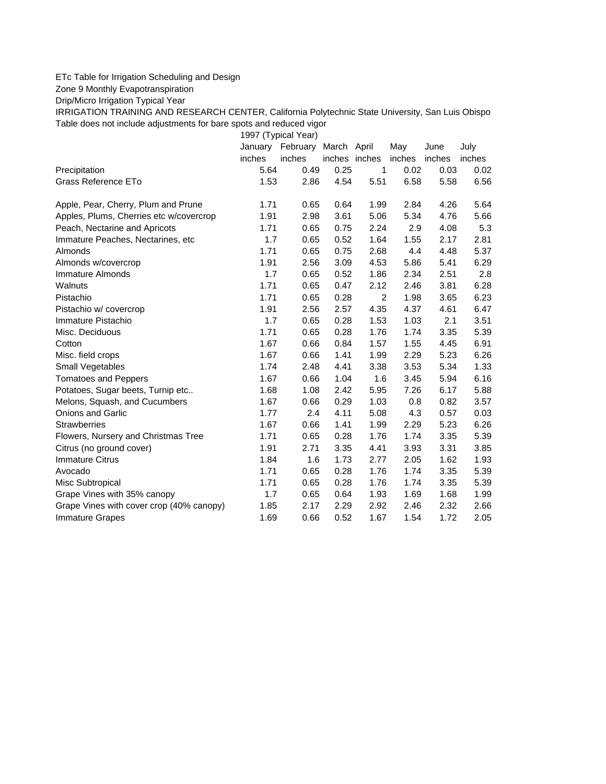## ETc Table for Irrigation Scheduling and Design

Zone 9 Monthly Evapotranspiration

Drip/Micro Irrigation Typical Year

IRRIGATION TRAINING AND RESEARCH CENTER, California Polytechnic State University, San Luis Obispo Table does not include adjustments for bare spots and reduced vigor

1997 (Typical Year)

|                                          | January | February | March April   |                | May    | June   | July   |
|------------------------------------------|---------|----------|---------------|----------------|--------|--------|--------|
|                                          | inches  | inches   | inches inches |                | inches | inches | inches |
| Precipitation                            | 5.64    | 0.49     | 0.25          | 1              | 0.02   | 0.03   | 0.02   |
| Grass Reference ETo                      | 1.53    | 2.86     | 4.54          | 5.51           | 6.58   | 5.58   | 6.56   |
| Apple, Pear, Cherry, Plum and Prune      | 1.71    | 0.65     | 0.64          | 1.99           | 2.84   | 4.26   | 5.64   |
| Apples, Plums, Cherries etc w/covercrop  | 1.91    | 2.98     | 3.61          | 5.06           | 5.34   | 4.76   | 5.66   |
| Peach, Nectarine and Apricots            | 1.71    | 0.65     | 0.75          | 2.24           | 2.9    | 4.08   | 5.3    |
| Immature Peaches, Nectarines, etc        | 1.7     | 0.65     | 0.52          | 1.64           | 1.55   | 2.17   | 2.81   |
| Almonds                                  | 1.71    | 0.65     | 0.75          | 2.68           | 4.4    | 4.48   | 5.37   |
| Almonds w/covercrop                      | 1.91    | 2.56     | 3.09          | 4.53           | 5.86   | 5.41   | 6.29   |
| Immature Almonds                         | 1.7     | 0.65     | 0.52          | 1.86           | 2.34   | 2.51   | 2.8    |
| Walnuts                                  | 1.71    | 0.65     | 0.47          | 2.12           | 2.46   | 3.81   | 6.28   |
| Pistachio                                | 1.71    | 0.65     | 0.28          | $\overline{2}$ | 1.98   | 3.65   | 6.23   |
| Pistachio w/ covercrop                   | 1.91    | 2.56     | 2.57          | 4.35           | 4.37   | 4.61   | 6.47   |
| Immature Pistachio                       | 1.7     | 0.65     | 0.28          | 1.53           | 1.03   | 2.1    | 3.51   |
| Misc. Deciduous                          | 1.71    | 0.65     | 0.28          | 1.76           | 1.74   | 3.35   | 5.39   |
| Cotton                                   | 1.67    | 0.66     | 0.84          | 1.57           | 1.55   | 4.45   | 6.91   |
| Misc. field crops                        | 1.67    | 0.66     | 1.41          | 1.99           | 2.29   | 5.23   | 6.26   |
| <b>Small Vegetables</b>                  | 1.74    | 2.48     | 4.41          | 3.38           | 3.53   | 5.34   | 1.33   |
| <b>Tomatoes and Peppers</b>              | 1.67    | 0.66     | 1.04          | 1.6            | 3.45   | 5.94   | 6.16   |
| Potatoes, Sugar beets, Turnip etc        | 1.68    | 1.08     | 2.42          | 5.95           | 7.26   | 6.17   | 5.88   |
| Melons, Squash, and Cucumbers            | 1.67    | 0.66     | 0.29          | 1.03           | 0.8    | 0.82   | 3.57   |
| <b>Onions and Garlic</b>                 | 1.77    | 2.4      | 4.11          | 5.08           | 4.3    | 0.57   | 0.03   |
| <b>Strawberries</b>                      | 1.67    | 0.66     | 1.41          | 1.99           | 2.29   | 5.23   | 6.26   |
| Flowers, Nursery and Christmas Tree      | 1.71    | 0.65     | 0.28          | 1.76           | 1.74   | 3.35   | 5.39   |
| Citrus (no ground cover)                 | 1.91    | 2.71     | 3.35          | 4.41           | 3.93   | 3.31   | 3.85   |
| <b>Immature Citrus</b>                   | 1.84    | 1.6      | 1.73          | 2.77           | 2.05   | 1.62   | 1.93   |
| Avocado                                  | 1.71    | 0.65     | 0.28          | 1.76           | 1.74   | 3.35   | 5.39   |
| Misc Subtropical                         | 1.71    | 0.65     | 0.28          | 1.76           | 1.74   | 3.35   | 5.39   |
| Grape Vines with 35% canopy              | 1.7     | 0.65     | 0.64          | 1.93           | 1.69   | 1.68   | 1.99   |
| Grape Vines with cover crop (40% canopy) | 1.85    | 2.17     | 2.29          | 2.92           | 2.46   | 2.32   | 2.66   |
| <b>Immature Grapes</b>                   | 1.69    | 0.66     | 0.52          | 1.67           | 1.54   | 1.72   | 2.05   |